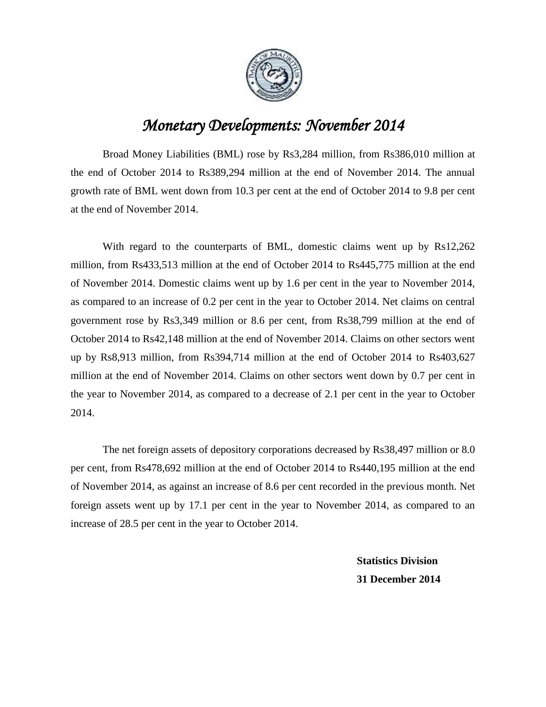

## *Monetary Developments: November 2014*

Broad Money Liabilities (BML) rose by Rs3,284 million, from Rs386,010 million at the end of October 2014 to Rs389,294 million at the end of November 2014. The annual growth rate of BML went down from 10.3 per cent at the end of October 2014 to 9.8 per cent at the end of November 2014.

With regard to the counterparts of BML, domestic claims went up by Rs12,262 million, from Rs433,513 million at the end of October 2014 to Rs445,775 million at the end of November 2014. Domestic claims went up by 1.6 per cent in the year to November 2014, as compared to an increase of 0.2 per cent in the year to October 2014. Net claims on central government rose by Rs3,349 million or 8.6 per cent, from Rs38,799 million at the end of October 2014 to Rs42,148 million at the end of November 2014. Claims on other sectors went up by Rs8,913 million, from Rs394,714 million at the end of October 2014 to Rs403,627 million at the end of November 2014. Claims on other sectors went down by 0.7 per cent in the year to November 2014, as compared to a decrease of 2.1 per cent in the year to October 2014.

The net foreign assets of depository corporations decreased by Rs38,497 million or 8.0 per cent, from Rs478,692 million at the end of October 2014 to Rs440,195 million at the end of November 2014, as against an increase of 8.6 per cent recorded in the previous month. Net foreign assets went up by 17.1 per cent in the year to November 2014, as compared to an increase of 28.5 per cent in the year to October 2014.

> **Statistics Division 31 December 2014**